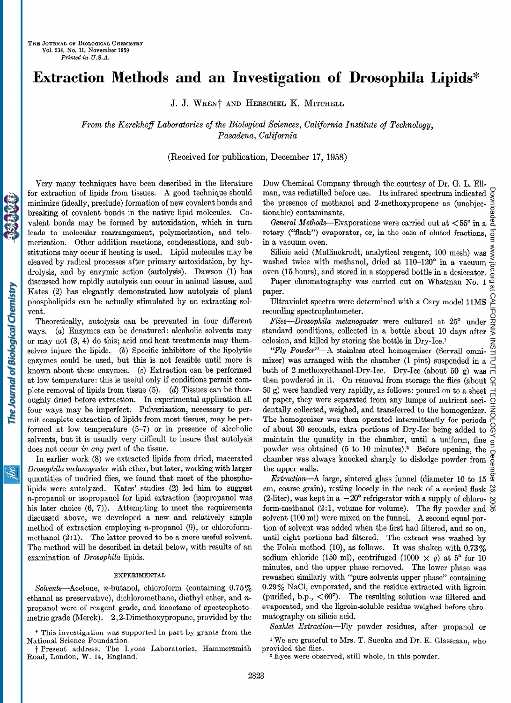# Extraction Methods and an Investigation of Drosophila Lipids\*

J. J. WREN† AND HERSCHEL K. MITCHELL

From the Kerckhoff Laboratories of the Biological Sciences, California Institute of Technology, Pasadena, California

(Received for publication, December 17, 1958)

Very many techniques have been described in the literature for extraction of lipids from tissues. A good technique should minimize (ideally, preclude) formation of new covalent bonds and breaking of covalent bonds in the native lipid molecules. Covalent bonds may be formed by autoxidation, which in turn leads to molecular rearrangement, polymerization, and telomerization. Other addition reactions, condensations, and substitutions may occur if heating is used. Lipid molecules may be cleaved by radical processes after primary autoxidation, by hydrolysis, and by enzymic action (autolysis). Dawson (1) has discussed how rapidly autolysis can occur in animal tissues, and Kates (2) has elegantly demonstrated how autolysis of plant phospholipids can be actually stimulated by an extracting solvent.

Theoretically, autolysis can be prevented in four different ways. (a) Enzymes can be denatured: alcoholic solvents may or may not (3, 4) do this; acid and heat treatments may themselves injure the lipids.  $(b)$  Specific inhibitors of the lipolytic enzymes could be used, but this is not feasible until more is known about these enzymes. (c) Extraction can be performed at low temperature: this is useful only if conditions permit complete removal of lipids from tissue  $(5)$ .  $(d)$  Tissues can be thoroughly dried before extraction. In experimental application all four ways may be imperfect. Pulverization, necessary to permit complete extraction of lipids from most tissues, may be performed at low temperature (5-7) or in presence of alcoholic solvents, but it is usually very difficult to insure that autolysis does not occur in any part of the tissue.

In earlier work (8) we extracted lipids from dried, macerated Drosophila melanogaster with ether, but later, working with larger quantities of undried flies, we found that most of the phospholipids were autolyzed. Kates' studies (2) led him to suggest n-propanol or isopropanol for lipid extraction (isopropanol was his later choice  $(6, 7)$ . Attempting to meet the requirements discussed above, we developed a new and relatively simple method of extraction employing n-propanol (9), or chloroformmethanol  $(2:1)$ . The latter proved to be a more useful solvent. The method will be described in detail below, with results of an examination of Drosophila lipids.

### EXPERIMENTAL

Solvents-Acetone, n-butanol, chloroform (containing  $0.75\%$ ) ethanol as preservative), dichloromethane, diethyl ether, and npropanol were of reagent grade, and isooctane of spectrophotometric grade (Merck). 2,2-Dimethoxypropane, provided by the

\* This investigation was supported in part by grants from the National Science Foundation.  $\frac{1}{2}$ 

 $\Gamma$  research address, the  $\mu$ .

Dow Chemical Company through the courtesy of Dr. G. L. Ellman, was redistilled before use. Its infrared spectrum indicated  $\frac{1}{2}$ the presence of methanol and 2-methoxypropene as (unobjec- $\frac{5}{8}$ <br>tionable) contaminants tionable) contaminants.

General Methods---Evaporations were carried out at  $<55^{\circ}$  in a  $\frac{8}{3}$ rotary ("flash") evaporator, or, in the case of eluted fractions, in a vacuum oven.

Silicic acid (Mallinckrodt, analytical reagent, 100 mesh) was  $\leq$ washed twice with methanol, dried at  $110-120^{\circ}$  in a vacuum oven (15 hours), and stored in a stoppered bottle in a desiccator.

Paper chromatography was carried out on Whatman No. 1 or paper.

Ultraviolet spectra were determined with a Cary model 1lMS recording spectrophotometer.

Flies-Drosophila melanogaster were cultured at 25° under standard conditions, collected in a bottle about 10 days after eclosion, and killed by storing the bottle in Dry-Ice.1

 $"Flu$  Powder"-A stainless steel homogenizer (Servall omnimixer) was arranged with the chamber  $(1 \text{ nint})$  suspended in a bath of 2-methoxyethanol-Dry-Ice. Dry-Ice (about 50 g) was then powdered in it. On removal from storage the flies (about  $Q$ 50 g) were handled very rapidly, as follows: poured on to a sheet of paper, they were separated from any lumps of nutrient accidentally collected, weighed, and transferred to the homogenizer. The homogenizer was then operated intermittently for periods of about 30 seconds, extra portions of Dry-Ice being added to maintain the quantity in the chamber, until a uniform, fine powder was obtained (5 to 10 minutes)? Before opening, the powder was obtained to to 10 minutes).<sup>2</sup> Before opening, the  $\frac{1}{6}$  chamber was always knocked sharply to dislodge powder from  $\frac{8}{6}$ the upper walls.

Extraction-A large, sintered glass funnel (diameter 10 to 15  $\frac{\alpha}{2}$ cm, coarse grain), resting loosely in the neck of a conical flask  $\frac{\infty}{\infty}$ (2-liter), was kept in a  $-20^{\circ}$  refrigerator with a supply of chloro- $\infty$ form-methanol (2:1, volume for volume). The fly powder and  $\frac{8}{9}$ solvent (100 ml) were mixed on the funnel. A second equal portion of solvent was added when the first had filtered, and so on, until eight portions had filtered. The extract was washed by the Folch method (10), as follows. It was shaken with  $0.73\%$ sodium chloride (150 ml), centrifuged (1000  $\times$  g) at 5° for 10 minutes, and the upper phase removed. The lower phase was rewashed similarly with "pure solvents upper phase" containing 0.29% NaC1, evaporated, and the residue extracted with ligroin (purified, b.p.,  $\langle 60^\circ \rangle$ ). The resulting solution was filtered and evaporated, and the ligroin-soluble residue weighed before chromatography on silicic acid.

Soxhlet Extraction-Fly powder residues, after propanol or

1 We are grateful to Mrs. T. Sueoka and Dr. E. Glassman, who  $\cdots$  we are graven provided the flies.<br><sup>2</sup> Eyes were observed, still whole, in this powder.

<u>жі</u>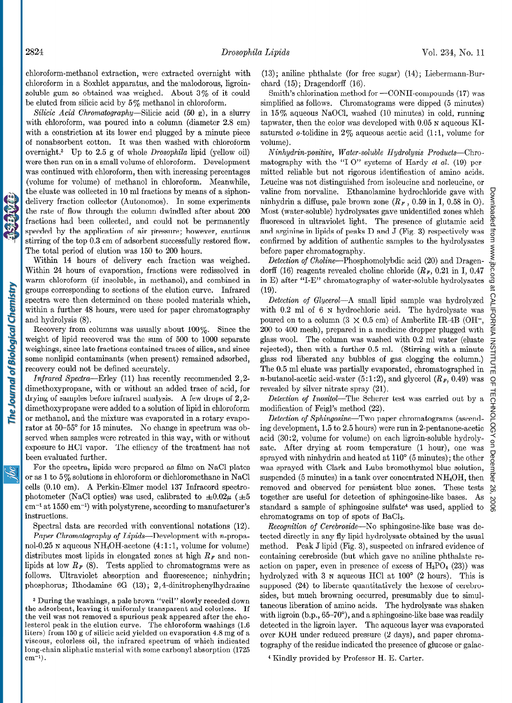chloroform-methanol extraction, were extracted overnight with chloroform in a Soxhlet apparatus, and the'malodorous, ligroinsoluble gum so obtained was weighed. About 3% of it could be eluted from silicic acid by 5% methanol in chloroform.

Silicic Acid Chromatography-Silicic acid (50 g), in a slurry with chloroform, was poured into a column (diameter 2.8 cm) with a constriction at its lower end plugged by a minute piece of nonabsorbent cotton. It was then washed with chloroform overnight.3 Up to 2.5 g of whole Drosophila lipid (yellow oil) were then run on in a small volume of chloroform. Development was continued with chloroform, then with increasing percentages (volume for volume) of methanol in chloroform. Meanwhile, the eluate was collected in 10 ml fractions by means of a siphondelivery fraction collector (Autonomos). In some experiments the rate of flow through the column dwindled after about 200 fractions had been collected, and could not be permanently speeded by the application of air pressure; however, cautious stirring of the top 0.3 cm of adsorbent successfully restored flow. The total period of elution was 150 to 200 hours.

Within 14 hours of delivery each fraction was weighed. Within 24 hours of evaporation, fractions were redissolved in warm chloroform (if insoluble, in methanol), and combined in groups corresponding to sections of the elution curve. Infrared spectra were then determined on these pooled materials which, within a further 48 hours, were used for paper chromatography and hydrolysis (8).

Recovery from columns was usually about  $100\%$ . Since the weight of lipid recovered was the sum of 500 to 1000 separate weighings, since late fractions contained traces of silica, and since some nonlipid contaminants (when present) remained adsorbed, recovery could not be defined accurately.

Infrared Spectra-Erley (11) has recently recommended 2,2 dimethoxypropane, with or without an added trace of acid, for drying of samples before infrared analysis. A few drops of 2,2 dimethoxypropane were added to a solution of lipid in chloroform or methanol, and the mixture was evaporated in a rotary evaporator at 50-55' for 15 minutes. No change in spectrum was observed when samples were retreated in this way, with or without exposure to HCl vapor. The efficacy of the treatment has not been evaluated further.

For the spectra, lipids were prepared as films on NaCl plates or as 1 to 5% solutions in chloroform or dichloromethane in NaCl cells (0.10 cm). A Perkin-Elmer model 137 Infracord spectrophotometer (NaCl optics) was used, calibrated to  $\pm 0.02\mu$  ( $\pm 5$ )  $cm^{-1}$  at 1550  $cm^{-1}$ ) with polystyrene, according to manufacturer's instructions.

Spectral data are recorded with conventional notations (12). Paper Chromatography of Lipids-Development with n-propanol-0.25 N aqueous NH<sub>4</sub>OH-acetone  $(4:1:1,$  volume for volume) distributes most lipids in elongated zones at high  $R<sub>F</sub>$  and nonlipids at low  $R_F$  (8). Tests applied to chromatograms were as follows. Ultraviolet absorption and fluorescence; ninhydrin; phosphorus; Rhodamine 6G (13); 2,4-dinitrophenylhydrazine

 $3$  During the washings, a pale brown  $\mu$  ,  $\mu$  slowly recent down  $\mu$ the adsorbent, leaving it consideration is a parent and colored transported in the last set of the state of the state of the state of the state of the state of the state of the state of the state of the state of the state the was removed a spurious peak appeared a specific the cholester was not removed a spurious peak appeared arter the cho- $\frac{1}{2}$  is a sign of  $\frac{1}{2}$  if  $\frac{1}{2}$  if  $\frac{1}{2}$  mg of action  $\frac{1}{2}$  mg of  $\frac{1}{2}$  mg of  $\frac{1}{2}$  mg of  $\frac{1}{2}$  mg of  $\frac{1}{2}$  mg of  $\frac{1}{2}$  mg of  $\frac{1}{2}$  mg of  $\frac{1}{2}$  mg of  $\frac{1}{2}$  mg of  $\frac{1$ nters) from for g of smele acid yielded on evaporation 7.0 mg of viscous, colorless oil, the infrared spectrum of which indicated long-chain aliphatic material with some carbonyl absorption  $(1725 \text{ cm}^{-1})$ .

(13); aniline phthalate (for free sugar) (14); Liebermann-Burchard (15); Dragendorff (16).

Smith's chlorination method for -CONH-compounds (17) was simplified as follows. Chromatograms were dipped (5 minutes) in 15'% aqueous NaOCl, washed (10 minutes) in cold, running tapwater, then the color was developed with 0.05 N aqueous KIsaturated  $o$ -tolidine in 2% aqueous acetic acid (1:1, volume for volume).

Ninhydrin-positive, Water-soluble Hydrolysis Products-Chromatography with the "I-O" systems of Hardy et al.  $(19)$  permitted reliable but not rigorous identification of amino acids. Leucine was not distinguished from isoleucine and norleucine, or valine from norvaline. Ethanolamine hydrochloride gave with ninhydrin a diffuse, pale brown zone  $(R_F, 0.59 \text{ in } I, 0.58 \text{ in } O)$ . Most (water-soluble) hydrolysates gave unidentified zones which fluoresced in ultraviolet light. The presence of glutamic acid and arginine in lipids of peaks D and J (Fig. 3) respectively was confirmed by addition of authentic samples to the hydrolysates before paper chromatography.

Detection of Choline---Phosphomolybdic acid (20) and Dragendorff (16) reagents revealed choline chloride  $(R_F, 0.21$  in I, 0.47 in E) after "I-E" chromatography of water-soluble hydrolysates (19).

Detection of Glycerol-A small lipid sample was hydrolyzed with 0.2 ml of 6 N hydrochloric acid. The hydrolysate was poured on to a column  $(3 \times 0.5 \text{ cm})$  of Amberlite IR-4B (OH<sup>-</sup>, 200 to 400 mesh), prepared in a medicine dropper plugged with glass wool. The column was washed with 0.2 ml water (eluate rejected), then with a further 0.5 ml. (Stirring with a minute glass rod liberated any bubbles of gas clogging the column.) The 0.5 ml eluate was partially evaporated, chromatographed in *n*-butanol-acetic acid-water (5:1:2), and glycerol  $(R_F, 0.49)$  was revealed by silver nitrate spray (21).

Detection of Inositol-The Scherer test was carried out by a modification of Feigl's method (22).

Detection of Sphingosine-Two paper chromatograms (ascending development, 1.5 to 2.5 hours) were run in 2-pentanone-acetic acid (30:2, volume for volume) on each ligroin-soluble hydrolysate. After drying at room temperature (1 hour), one was sprayed with ninhydrin and heated at  $110^{\circ}$  (5 minutes); the other was sprayed with Clark and Lubs bromothymol blue solution, suspended (5 minutes) in a tank over concentrated NH<sub>4</sub>OH, then removed and observed for persistent blue zones. These tests together are useful for detection of sphingosine-like bases. As standard a sample of sphingosine sulfate4 was used, applied to chromatograms on top of spots of BaC12.

Recognition of Cerebroside-No sphingosine-like base was detected directly in any fly lipid hydrolysate obtained by the usual method. Peak J lipid (Fig. 3), suspected on infrared evidence of containing cerebroside (but which gave no aniline phthalate reaction on paper, even in presence of excess of  $H_3PO_4$  (23)) was hydrolyzed with 3  $\mu$  aqueous HCl at 100 $^{\circ}$  (2 hours). This is supposed (24) to liberate quantitatively the hexose of cerebrosides, but much browning occurred, presumably due to simultaneous liberation of amino acids. The hydrolysate was shaken with ligroin (b.p., 65-70°), and a sphingosine-like base was readily detected in the ligroin layer. The aqueous layer was evaporated over KOH under reduced pressure (2 days), and paper chromatography of the residue indicated the presence of glucose or galac-

4 Kindly provided by Professor H. E. Carter.

<u>ibc</u>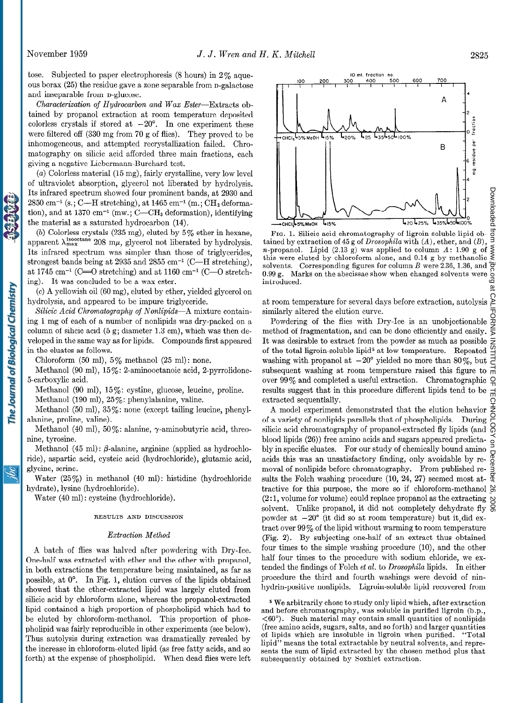tose. Subjected to paper electrophoresis  $(8 \text{ hours})$  in  $2\%$  aqueous borax (25) the residue gave a zone separable from n-galactose and inseparable from **p**-glucose.

Characterization of Hydrocarbon and Wax Ester-Extracts obtained by propanol extraction at room temperature deposited colorless crystals if stored at  $-20^\circ$ . In one experiment these were filtered off (330 mg from 70 g of flies). They proved to be inhomogeneous, and attempted recrystallization failed. Chromatography on silicic acid afforded three main fractions, each giving a negative Liebermann-Burchard test.

(a) Colorless material (15 mg), fairly crystalline, very low level of ultraviolet absorption, glycerol not liberated by hydrolysis. Its infrared spectrum showed four prominent bands, at 2930 and  $2850$  cm<sup>-1</sup> (s.; C—H stretching), at  $1465$  cm<sup>-1</sup> (m.; CH<sub>2</sub> deformation), and at  $1370 \text{ cm}^{-1}$  (mw.; C—CH<sub>3</sub> deformation), identifying the material as a saturated hydrocarbon (14).

(b) Colorless crystals  $(235 \text{ mg})$ , eluted by  $5\%$  ether in hexane, apparent  $\lambda_{\text{max}}^{\text{isocetane}}$  208 m $\mu$ , glycerol not liberated by hydrolysis. Its infrared spectrum was simpler than those of triglycerides, strongest bands being at 2935 and 2855 cm<sup>-1</sup> (C-H stretching), at 1745 cm<sup>-1</sup> (C= $\overline{O}$  stretching) and at 1160 cm<sup>-1</sup> (C- $\overline{O}$  stretching). It was concluded to be a wax ester.

(c) A yellowish oil (60 mg), eluted by ether, yielded glycerol on hydrolysis, and appeared to be impure triglyceride.

Silicic Acid Chromatography of Nonlipids-A mixture containing 1 mg of each of a number of nonlipids was dry-packed on a column of silicic acid  $(5 g; diameter 1.3 cm)$ , which was then developed in the same way as for lipids. Compounds first appeared in the eluates as follows.

Chloroform (50 ml),  $5\%$  methanol (25 ml): none.

Methanol (90 ml), 15%: 2-aminooctanoic acid, 2-pyrrolidone-5-carboxylic acid.

Methanol (90 ml), 15%: cystine, glucose, leucine, proline.

Methanol (190 ml),  $25\%$ : phenylalanine, valine.

Methanol (50 ml), 35%: none (except tailing leucine, phenylalanine, proline, valine).

Methanol (40 ml),  $50\%$ : alanine,  $\gamma$ -aminobutyric acid, threonine, tyrosine.

Methanol (45 ml):  $\beta$ -alanine, arginine (applied as hydrochloride), aspartic acid, cysteic acid (hydrochloride), glutamic acid, glycine, serine.

Water (25%) in methanol (40 ml): histidine (hydrochloride hydrate), lysine (hydrochloride).

Water (40 ml): cysteine (hydrochloride).

#### RESULTS AND DISCUSSION

#### Extraction Method

A batch of flies was halved after powdering with Dry-Ice. One-half was extracted with ether and the other with propanol, in both extractions the temperature being maintained, as far as possible, at 0'. In Fig. 1, elution curves of the lipids obtained showed that the ether-extracted lipid was largely eluted from silicic acid by chloroform alone, whereas the propanol-extracted lipid contained a high proportion of phospholipid which had to be eluted by, chloroform-methanol. This proportion of phospholipid was fairly reproducible in other experiments (see below). Thus autolysis during extraction was dramatically revealed by the increase in chloroform-eluted lipid (as free fatty acids, and so forth) at the expense of phospholipid. When dead flies were left

F<sub>IG.</sub> 1. Silicic acid chromatography of ligroin-soluble lipid obtained by extraction of 45 g of Drosophila with (A), ether, and  $(B)$ . n-propanol. Lipid  $(2.13 \text{ e})$  was applied to column  $A: 1.90 \text{ e of}$ this were eluted by chloroform alone, and  $0.14 \times$  by methanol solvents. Corresponding figures for column  $B$  were  $2.36$ , 1.36, and  $0.99 g$  Marks on the abscissae show when changed solvents were  $\widetilde{\mathbf{introduce}}$ 

at room temperature for several days before extraction, autolysis similarly altered the elution curve.

Powdering of the flies with Dry-Ice is an unobjection method of fragmentation, and can be done efficiently and easily. It was desirable to extract from the powder as much as possible of the total ligroin-soluble lipid<sup>5</sup> at low temperature. Repeate washing with propanol at  $-90^\circ$  yielded no more than  $80\%$ , but subsequent washing at room temperature raised this figure to over 99% and completed a useful extraction. Chromatographic results suggest that in this procedure different lipids tend to be extracted sequentially.

A model experiment demonstrated that the elution behavior of a variety of nonlipids parallels that of phospholipids. During silicic acid chromatography of propanol-extracted fly lipids (and blood lipids (26)) free amino acids and sugars appeared predictably in specific eluates. For our study of chemically bound amino acids this was an unsatisfactory finding, only avoidable by removal of nonlipids before chromatography. From published removal of nonliplas before chromatography. From published re-  $\frac{3}{5}$  sults the Folch washing procedure (10, 24, 27) seemed most at-  $\frac{9}{5}$ tractive for this purpose, the more so if chloroform-methanol  $\delta$ (2:1, volume for volume) could replace propanol as the extracting  $\sim$ solvent. Unlike propanol, it did not completely dehydrate fly  $\frac{8}{9}$ powder at  $-20^{\circ}$  (it did so at room temperature) but it did extract over  $99\%$  of the lipid without warming to room temperature (Fig. 2). By subjecting one-half of an extract thus obtained four times to the simple washing procedure  $(10)$ , and the other half four times to the procedure with sodium chloride, we extended the findings of Folch et al. to Drosophila lipids. In either procedure the third and fourth washings were devoid of ninhydrin-positive nonlipids. Ligroin-soluble lipid recovered from

5 We arbitrarily chose to study only lipid which, after extraction we and diamed to solut only up to which, and extraction and before emfomatography, was softone in purified figuration.  $<$ 60°). Such material may contain small quantities of nonlipids (free amino acids, sugars, salts, and so forth) and larger quantities of lipids which are insoluble in ligroin when purified. "Total of lipids which are moduled in agroun when purined. Told if the sum of lipid extractable by heutral solvents, and represents the sum of lipid extracted by the chosen method plus that subsequently obtained by Soxhlet extraction.



The Journal of Biological Chemistry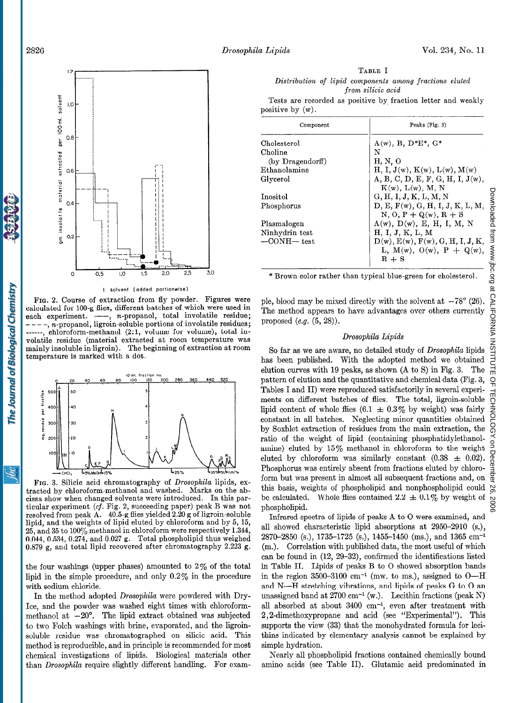



I. solvent (added portionwise)

FIG. 2. Course of extraction from fly powder. Figures were calculated for 100-g flies, different batches of which were used in each experiment.  $\overline{\hspace{1cm}}$ , n-propanol, total involatile residue;  $---, n$ -propanol, ligroin-soluble portions of involatile residues; ------, chloroform-methanol (2:1, volume for volume), total involatile residue (material extracted at room temperature was mainly insoluble in ligroin). The beginning of extraction at room temperature is marked with a dot.



FIG. 3. Silicic acid chromatography of Drosophila lipids, extracted by chloroform-methanol and washed. Marks on the abcissa show when changed solvents were introduced. In this particular experiment (cf. Fig. 2, succeeding paper) peak B was not resolved from peak A. 40.5-g flies yielded 2.20 g of ligroin-soluble lipid, and the weights of lipid eluted by chloroform and by 5, 15, 25, and 35 to lOO'% methanol in chloroform were respectively 1.344, 0.044, 0.534, 0.274, and 0.027 g. Total phospholipid thus weighed 0.879 g, and total lipid recovered after chromatography 2.223 g.

the four washings (upper phases) amounted to  $2\%$  of the total lipid in the simple procedure, and only  $0.2\%$  in the procedure with sodium chloride.

In the method adopted Drosophila were powdered with Dry-Ice, and the powder was washed eight times with chloroformmethanol at  $-20^\circ$ . The lipid extract obtained was subjected to two Folch washings with brine, evaporated, and the ligroinsoluble residue was chromatographed on silicic acid. This method is reproducible, and in principle is recommended for most chemical investigations of lipids. Biological materials other than Drosophila require slightly different handling. For exam-

TABLE I Distribution of lipid components among fractions eluted from silicic acid

Tests are recorded as positive by fraction letter and weakly positive by (w).

| Component         | Peaks (Fig. 3)                   |
|-------------------|----------------------------------|
| Cholesterol       | $A(w)$ , B, D*E*, G*             |
| Choline           | N                                |
| (by Dragendorff)  | H, N, O                          |
| Ethanolamine      | H, I, J(w), K(w), L(w), M(w)     |
| Glycerol          | A, B, C, D, E, F, G, H, I, J(w), |
|                   | $K(w)$ , $L(w)$ , M, N           |
| Inositol          | G, H, I, J, K, L, M, N           |
| Phosphorus        | D, E, F(w), G, H, I, J, K, L, M, |
|                   | $N, O, P + Q(w), R + S$          |
| Plasmalogen       | $A(w)$ , $D(w)$ , E, H, I, M, N  |
| Ninhydrin test    | H, I, J, K, L, M                 |
| $-$ CONH $-$ test | D(w), E(w), F(w), G, H, I, J, K, |
|                   | L, M(w), O(w), P + Q(w),         |
|                   | $R + S$                          |
|                   |                                  |

\* Brown color rather than typical blue-green for cholesterol.

ple, blood may be mixed directly with the solvent at  $-78^{\circ}$  (26). The method appears to have advantages over others currently proposed  $(e.g. (5, 28)).$ 

## Drosophila Lipids

So far as we are aware, no detailed study of Drosophila lipids has been published. With the adopted method we obtained elution curves with 19 peaks, as shown (A to S) in Fig. 3. The pattern of elution and the quantitative and chemical data (Fig. 3, Tables I and II) were reproduced satisfactorily in several experiments on different batches of flies. The total, ligroin-soluble lipid content of whole flies  $(6.1 \pm 0.3\%$  by weight) was fairly constant in all batches. Neglecting minor quantities obtained by Soxhlet extraction of residues from the main extraction, the ratio of the weight of lipid (containing phosphatidylethanolamine) eluted by  $15\%$  methanol in chloroform to the weight eluted by chloroform was similarly constant  $(0.38 \pm 0.02)$ . Phosphorus was entirely absent from fractions eluted by chloroform but was present in almost all subsequent fractions and, on this basis, weights of phospholipid and nonphospholipid could be calculated. Whole flies contained  $2.2 \pm 0.1\%$  by weight of phospholipid.

Infrared spectra of lipids of peaks A to 0 were examined, and all showed characteristic lipid absorptions at 2950-2910 (s.), 2870-2850 (s.), 1735-1725 (s.), 1455-1450 (ms.), and 1365 cm-l (m.). Correlation with published data, the most useful of which can be found in (12, 29-32), confirmed the identifications listed in Table II. Lipids of peaks B to 0 showed absorption bands in the region 3500-3100 cm<sup>-1</sup> (mw. to ms.), assigned to  $O-H$ and N-H stretching vibrations, and lipids of peaks G to 0 an unassigned band at  $2700 \text{ cm}^{-1}$  (w.). Lecithin fractions (peak N) all absorbed at about 3400 cm<sup>-1</sup>, even after treatment with 2,2-dimethoxypropane and acid (see "Experimental"). This supports the view  $(33)$  that the monohydrated formula for lecithins indicated by elementary analysis cannot be explained by simple hydration.

Nearly all phospholipid fractions contained chemically bound amino acids (see Table II). Glutamic acid predominated in

The Journal of Biological Chemistry

<u>ibi</u>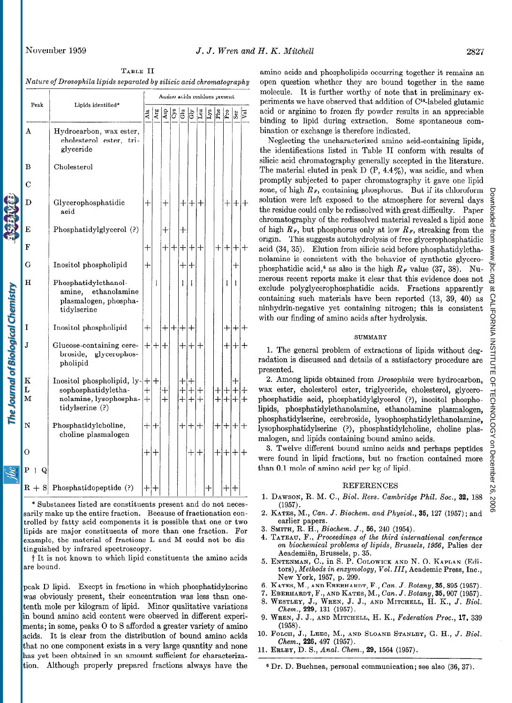The Journal of Biological Chemistry

TABLE II Nature of Drosophila lipids separated by silicic acid chromatography

|  | Peak<br>Lipids identified* |                                                                                                          | Amino acids residues present |                  |                     |     |                     |                   |                     |     |          |            |                       |        |  |
|--|----------------------------|----------------------------------------------------------------------------------------------------------|------------------------------|------------------|---------------------|-----|---------------------|-------------------|---------------------|-----|----------|------------|-----------------------|--------|--|
|  |                            | Ala                                                                                                      | Arg                          | Asp              | Cys                 | du  | Ĝ                   | Leu               | Lys                 | Phe | Pro      | Ser        |                       |        |  |
|  | A                          | Hydrocarbon, wax ester,<br>cholesterol ester, tri-<br>glyceride                                          |                              |                  |                     |     |                     |                   |                     |     |          |            |                       |        |  |
|  | B                          | Cholesterol                                                                                              |                              |                  |                     |     |                     |                   |                     |     |          |            |                       |        |  |
|  | С                          |                                                                                                          |                              |                  |                     |     |                     |                   |                     |     |          |            |                       |        |  |
|  | D                          | Glycerophosphatidic<br>acid                                                                              | $^{+}$                       |                  | $\hspace{.011cm} +$ |     |                     | $+ +$             | $^+$                |     |          |            | $+ + $                | $\pm$  |  |
|  | Е                          | Phosphatidylglycerol (?)                                                                                 |                              |                  | $\boldsymbol{+}$    |     | $\mathrm{+}$        |                   |                     |     |          |            |                       |        |  |
|  | F                          |                                                                                                          | $\mathrm{+}$                 |                  | $\pm$               | $+$ | ┿                   | ┿                 | ┿                   |     | $\pm$    | $^{+}$     | $+$                   | $\pm$  |  |
|  | G                          | Inositol phospholipid                                                                                    | $+$                          |                  |                     |     | ┿                   | ╉                 |                     |     |          |            | ╅                     |        |  |
|  | н                          | Phosphatidylethanol-<br>amine, ethanolamine<br>plasmalogen, phospha-<br>tidylserine                      |                              | $\boldsymbol{+}$ |                     |     | ┾                   | $+$               |                     |     |          | $\pm$      | $\pm$                 |        |  |
|  | I                          | Inositol phospholipid                                                                                    | $+$                          |                  | $+ $                |     | $+ + +$             |                   |                     |     |          | $+ +$      |                       | ┿      |  |
|  | J.                         | Glucose-containing cere-<br>glycerophos-<br>broside,<br>pholipid                                         |                              | $+ +$            | $^{+}$              |     | ┿                   | ┿                 |                     |     |          | ┿          | $^+$                  | ┿      |  |
|  | $\bf K$<br>L<br>M          | Inositol phospholipid, $ y- + +$<br>sophosphatidyletha-<br>nolamine, lysophospha-<br>(?) tidylserine (?) | $^{+}$<br>$+$                |                  | ┿<br>$\ddot{}$      |     | ┿<br>$\ddag$<br>$+$ | ┿<br>$\pm$<br>$+$ | $\mathrm{+}$<br>$+$ |     | ᅱ<br>$+$ | $+$<br>$+$ | $\overline{+}$<br>$+$ | $+$    |  |
|  | N                          | Phosphatidylcholine,<br>choline plasmalogen                                                              | $+ +$                        |                  |                     |     |                     | $+ + +$           |                     |     |          | $+ + + +$  |                       |        |  |
|  | Ō                          |                                                                                                          | ┾                            | ╅                |                     |     |                     | $\! +$            | $\bm{+}$            |     | $\pm$    | $^{+}$     | $^{+}$                | $\div$ |  |
|  | $P + Q$                    |                                                                                                          |                              |                  |                     |     |                     |                   |                     |     |          |            |                       |        |  |
|  |                            | $R + S$ Phosphatidopeptide (?)                                                                           | $+$ $+$                      |                  |                     |     |                     |                   |                     | ┾   |          | ┽          |                       |        |  |

\* Substances listed are constituents present and do not necessarily make up the entire fraction. Because of fractionation controlled by fatty acid components it is possible that one or two lipids are major constituents of more than one fraction. For example, the material of fractions L and M could not be distinguished by infrared spectroscopy.

t It is not known to which lipid constituents the amino acids are bound.

peak D lipid. Except in fractions in which phosphatidylserine was obviously present, their concentration was less than onetenth mole per kilogram of lipid. Minor qualitative variations in bound amino acid content were observed in different experiments; in some, peaks 0 to S afforded a greater variety of amino acids. It is clear from the distribution of bound amino acids that no one component exists in a very large quantity and none has yet been obtained in an amount sufficient for characterization. Although properly prepared fractions always have the

amino acids and phospholipids occurring together it remains an open question whether they are bound together in the same molecule. It is further worthy of note that in preliminary experiments we have observed that addition of C<sup>14</sup>-labeled glutamic acid or arginine to frozen fly powder results in an appreciable binding to lipid during extraction. Some spontaneous combination or exchange is therefore indicated.

Neglecting the uncharacterized amino acid-containing lipids, the identifications listed in Table II conform with results of silicic acid chromatography generally accepted in the literature. The material eluted in peak D  $(P, 4.4\%)$ , was acidic, and when promptly subjected to paper chromatography it gave one lipid zone, of high  $R_F$ , containing phosphorus. But if its chloroform solution were left exposed to the atmosphere for several days the residue could only be redissolved with great difficulty. Paper chromatography of the redissolved material revealed a lipid zone of high  $R_F$ , but phosphorus only at low  $R_F$ , streaking from the origin. This suggests autohydrolysis of free glycerophosphatidic acid (34, 35). Elution from silicic acid before phosphatidylethanolamine is consistent with the behavior of synthetic glycerophosphatidic acid,<sup>6</sup> as also is the high  $R_F$  value (37, 38). Numerous recent reports make it clear that this evidence does not exclude polyglycerophosphatidic acids. Fractions apparently containing such materials have been reported (13, 39, 40) as ninhydrin-negative yet containing nitrogen; this is consistent with our finding of amino acids after hydrolysis.

#### SUMMARY

1. The general problem of extractions of lipids without degradation is discussed and details of a satisfactory procedure are presented.

2. Among lipids obtained from Drosophila were hydrocarbon, wax ester, cholesterol ester, triglyceride, cholesterol, glycerophosphatidic acid, phosphatidylglycerol (?), inositol phospholipids, phosphatidylethanolamine, ethanolamine plasmalogen, phosphatidylserine, cerebroside, lysophosphatidylethanolamine, lysophosphatidylserine (?), phosphatidylcholine, choline plasmalogen, and lipids containing bound amino acids.

3. Twelve different bound amino acids and perhaps peptides were found in lipid fractions, but no fraction contained more than 0.1 mole of amino acid per kg of lipid.

## REFERENCES

- 1. DAWSON, R. M. C., Biol. Revs. Cambridge Phil. Soc., 32, 188 (1957).
- 2. KATES, M., Can. J. Biochem. and Physiol., 36, 127 (1957) ; and earlier papers.
- 3. SMITH, R. H., Biochem. J., 66, 240 (1954).
- 4. TAYEAU, F., Proceedings of the third international conference on biochemical problems of lipids, Brussels, 1956, Palies der Academien, Brussels, p. 35.
- 5. ENTENMAN, C., in S. P. COLOWICK AND N. 0. KAPLAN (Editors), Methods in enzymology, Vol. III, Academic Press, Inc., New York, 1957, p. 299.
- 6. KATES, M., AND EBERHARDT, F., Can. J. Botany, 36,895 (1957).  $7. \text{F}$
- $\frac{1}{2}$ . Westerhalt,  $\frac{1}{2}$ ,  $\frac{1}{2}$ ,  $\frac{1}{2}$ ,  $\frac{1}{2}$ ,  $\frac{1}{2}$ ,  $\frac{1}{2}$ ,  $\frac{1}{2}$ ,  $\frac{1}{2}$ ,  $\frac{1}{2}$ ,  $\frac{1}{2}$ ,  $\frac{1}{2}$ ,  $\frac{1}{2}$ ,  $\frac{1}{2}$ ,  $\frac{1}{2}$ ,  $\frac{1}{2}$ ,  $\frac{1}{2}$ ,  $\frac{1}{2}$ ,  $\frac{1}{2}$ ,
- 8. WESTLEY, J., WREN, J. J., AND MITCHELL, H. K., J. Biol.<br>Chem., 229, 131 (1957).  $\sim$  Wrenc, and  $\sim$   $(150)$ .
- $(105)$  $\mathbf{10. T}$ ,  $\mathbf{1.7000}$ ,  $\mathbf{1.7. T}$ ,  $\mathbf{1.7. T}$ ,  $\mathbf{1.7. T}$ ,  $\mathbf{1.7. T}$ ,  $\mathbf{1.7. T}$ ,  $\mathbf{1.7. T}$ ,  $\mathbf{1.7. T}$ ,  $\mathbf{1.7. T}$ ,  $\mathbf{1.7. T}$ ,  $\mathbf{1.7. T}$ ,  $\mathbf{1.7. T}$ ,  $\mathbf{1.7. T}$ ,  $\mathbf{1.7. T}$ ,  $\mathbf{1.7. T}$
- $\alpha$   $\alpha$   $\alpha$   $\alpha$   $\alpha$   $\alpha$   $\alpha$   $\alpha$ Chem., 226, 497 (1957).<br>11. ERLEY, D. S., Anal. Chem., 29, 1564 (1957).
- 

Downloadedthe CALIFORNIA INSTITUTE OF TECHNOLOGY OF DECEMBER 2007, 2006 www.jpc.org Downloaded from the Second Doc.org at CALIFORNIA INSTITUTE OF TECHNOLOGY on December 26, 900Z

6 Dr. D. Buchnea, personal communication; see also (36, 37).